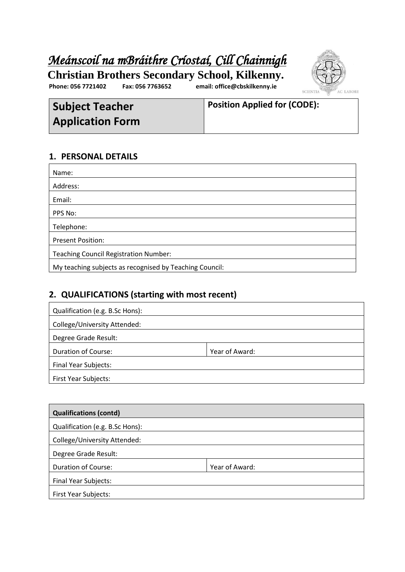# *Meánscoil na mBráithre Críostaí, Cill Chainnigh*



**Phone: 056 7721402 Fax: 056 7763652 email: office@cbskilkenny.ie Christian Brothers Secondary School, Kilkenny.**

**Subject Teacher Application Form**

**Position Applied for (CODE): Phone : 056 7721402 Fax: 056 7763652 E-mail: cbskk@indigo.ie**

#### **1. PERSONAL DETAILS**

| Name:                                                   |
|---------------------------------------------------------|
| Address:                                                |
| Email:                                                  |
| PPS No:                                                 |
| Telephone:                                              |
| <b>Present Position:</b>                                |
| <b>Teaching Council Registration Number:</b>            |
| My teaching subjects as recognised by Teaching Council: |

#### **2. QUALIFICATIONS (starting with most recent)**

| Qualification (e.g. B.Sc Hons): |                |
|---------------------------------|----------------|
| College/University Attended:    |                |
| Degree Grade Result:            |                |
| <b>Duration of Course:</b>      | Year of Award: |
| <b>Final Year Subjects:</b>     |                |
| <b>First Year Subjects:</b>     |                |

| <b>Qualifications (contd)</b>   |                |
|---------------------------------|----------------|
| Qualification (e.g. B.Sc Hons): |                |
| College/University Attended:    |                |
| Degree Grade Result:            |                |
| <b>Duration of Course:</b>      | Year of Award: |
| <b>Final Year Subjects:</b>     |                |
| <b>First Year Subjects:</b>     |                |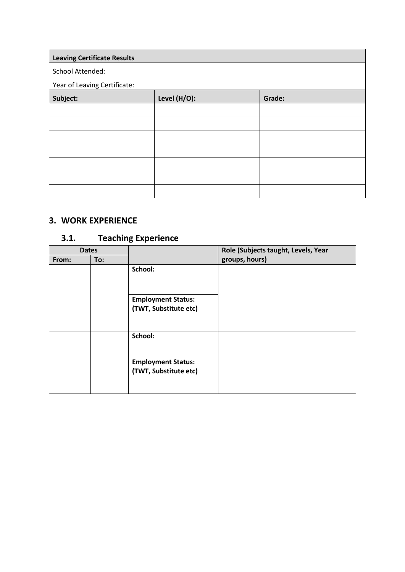| <b>Leaving Certificate Results</b> |              |        |
|------------------------------------|--------------|--------|
| School Attended:                   |              |        |
| Year of Leaving Certificate:       |              |        |
| Subject:                           | Level (H/O): | Grade: |
|                                    |              |        |
|                                    |              |        |
|                                    |              |        |
|                                    |              |        |
|                                    |              |        |
|                                    |              |        |
|                                    |              |        |

### **3. WORK EXPERIENCE**

## **3.1. Teaching Experience**

| <b>Dates</b> |     |                                                    | Role (Subjects taught, Levels, Year |
|--------------|-----|----------------------------------------------------|-------------------------------------|
| From:        | To: |                                                    | groups, hours)                      |
|              |     | School:                                            |                                     |
|              |     | <b>Employment Status:</b><br>(TWT, Substitute etc) |                                     |
|              |     | School:                                            |                                     |
|              |     | <b>Employment Status:</b><br>(TWT, Substitute etc) |                                     |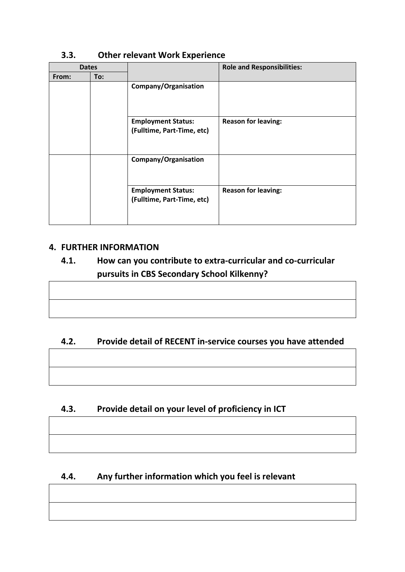| <b>Dates</b> |     |                                                         | <b>Role and Responsibilities:</b> |
|--------------|-----|---------------------------------------------------------|-----------------------------------|
| From:        | To: |                                                         |                                   |
|              |     | Company/Organisation                                    |                                   |
|              |     | <b>Employment Status:</b><br>(Fulltime, Part-Time, etc) | <b>Reason for leaving:</b>        |
|              |     | Company/Organisation                                    |                                   |
|              |     | <b>Employment Status:</b><br>(Fulltime, Part-Time, etc) | <b>Reason for leaving:</b>        |

#### **3.3. Other relevant Work Experience**

#### **4. FURTHER INFORMATION**

## **4.1. How can you contribute to extra-curricular and co-curricular pursuits in CBS Secondary School Kilkenny?**

#### **4.2. Provide detail of RECENT in-service courses you have attended**

#### **4.3. Provide detail on your level of proficiency in ICT**

#### **4.4. Any further information which you feel is relevant**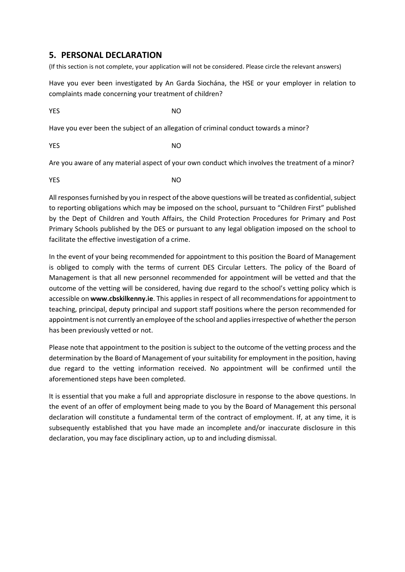#### **5. PERSONAL DECLARATION**

(If this section is not complete, your application will not be considered. Please circle the relevant answers)

Have you ever been investigated by An Garda Siochána, the HSE or your employer in relation to complaints made concerning your treatment of children?

**YES** NO

Have you ever been the subject of an allegation of criminal conduct towards a minor?

**YES** NO

Are you aware of any material aspect of your own conduct which involves the treatment of a minor?

**YES** NO

All responses furnished by you in respect of the above questions will be treated as confidential, subject to reporting obligations which may be imposed on the school, pursuant to "Children First" published by the Dept of Children and Youth Affairs, the Child Protection Procedures for Primary and Post Primary Schools published by the DES or pursuant to any legal obligation imposed on the school to facilitate the effective investigation of a crime.

In the event of your being recommended for appointment to this position the Board of Management is obliged to comply with the terms of current DES Circular Letters. The policy of the Board of Management is that all new personnel recommended for appointment will be vetted and that the outcome of the vetting will be considered, having due regard to the school's vetting policy which is accessible on **www.cbskilkenny.ie**. This applies in respect of all recommendations for appointment to teaching, principal, deputy principal and support staff positions where the person recommended for appointment is not currently an employee of the school and applies irrespective of whether the person has been previously vetted or not.

Please note that appointment to the position is subject to the outcome of the vetting process and the determination by the Board of Management of your suitability for employment in the position, having due regard to the vetting information received. No appointment will be confirmed until the aforementioned steps have been completed.

It is essential that you make a full and appropriate disclosure in response to the above questions. In the event of an offer of employment being made to you by the Board of Management this personal declaration will constitute a fundamental term of the contract of employment. If, at any time, it is subsequently established that you have made an incomplete and/or inaccurate disclosure in this declaration, you may face disciplinary action, up to and including dismissal.